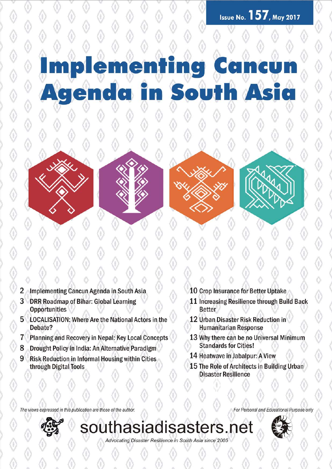### me  $\left| \bullet \right|$ n Soutl IS ne er ٦

- 2 Implementing Cancun Agenda in South Asia
- 3 DRR Roadmap of Bihar: Global Learning **Opportunities**
- 5 LOCALISATION: Where Are the National Actors in the Debate?
- Planning and Recovery in Nepal: Key Local Concepts  $7^{\circ}$
- 8 Drought Policy in India: An Alternative Paradigm
- $9^{\circ}$ **Risk Reduction in Informal Housing within Cities** through Digital Tools
- 10 Crop Insurance for Better Uptake
- 11 Increasing Resilience through Build Back **Better**
- 12 Urban Disaster Risk Reduction in **Humanitarian Response**
- 13 Why there can be no Universal Minimum **Standards for Cities!**
- 14 Heatwave in Jabalpur: A View
- 15 The Role of Architects in Building Urban **Disaster Resilience**

The views expressed in this publication are those of the author.



southasiadisasters.net

Advocating Disaster Resilience in South Asia since 2005



For Personal and Educational Purpose only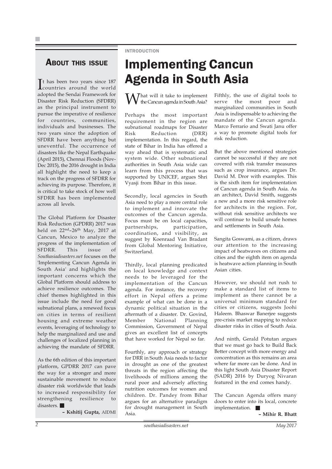### ABOUT THIS ISSUE

**I**<sup>t</sup> has been two years since 187 countries around the world t has been two years since 187 adopted the Sendai Framework for Disaster Risk Reduction (SFDRR) as the principal instrument to pursue the imperative of resilience for countries, communities, individuals and businesses. The two years since the adoption of SFDRR have been anything but uneventful. The occurrence of disasters like the Nepal Earthquake (April 2015), Chennai Floods (Nov-Dec 2015), the 2016 drought in India all highlight the need to keep a track on the progress of SFDRR for achieving its purpose. Therefore, it is critical to take stock of how well SFDRR has been implemented across all levels.

The Global Platform for Disaster Risk Reduction (GPDRR) 2017 was held on  $22^{\text{nd}} - 26^{\text{th}}$  May,  $2017$  at Cancun, Mexico to analyze the progress of the implementation of SFDRR. This issue of Southasiadisasters.net focuses on the 'Implementing Cancun Agenda in South Asia' and highlights the important concerns which the Global Platform should address to achieve resilience outcomes. The chief themes highlighted in this issue include the need for good subnational plans, a renewed focus on cities in terms of resilient housing and extreme weather events, leveraging of technology to help the marginalized and use and challenges of localized planning in achieving the mandate of SFDRR.

As the 6th edition of this important platform, GPDRR 2017 can pave the way for a stronger and more sustainable movement to reduce disaster risk worldwide that leads to increased responsibility for strengthening resilience to disasters.

– Kshitij Gupta, AIDMI

### INTRODUCTION

# Implementing Cancun Agenda in South Asia

 $\overline{J}$  hat will it take to implement the Cancun agenda in South Asia?

Perhaps the most important requirement in the region are subnational roadmaps for Disaster Risk Reduction (DRR) implementation. In this regard, the state of Bihar in India has offered a way ahead that is systematic and system wide. Other subnational authorities in South Asia wide can learn from this process that was supported by UNICEF, argues Shri Vyasji from Bihar in this issue.

Secondly, local agencies in South Asia need to play a more central role to implement and innovate the outcomes of the Cancun agenda. Focus must be on local capacities, partnerships, participation, coordination, and visibility, as suggest by Koenraad Van Bradant from Global Mentoring Initiative, Switzerland.

Thirdly, local planning predicated on local knowledge and context needs to be leveraged for the implementation of the Cancun agenda. For instance, the recovery effort in Nepal offers a prime example of what can be done in a dynamic political situation in the aftermath of a disaster. Dr. Govind, Member National Planning Commission, Government of Nepal gives an excellent list of concepts that have worked for Nepal so far.

Fourthly, any approach or strategy for DRR in South Asia needs to factor in drought as one of the greatest threats in the region affecting the livelihoods of millions among the rural poor and adversely affecting nutrition outcomes for women and children. Dr. Pandey from Bihar argues for an alternative paradigm for drought management in South Asia.

Fifthly, the use of digital tools to serve the most poor and marginalized communities in South Asia is indispensable to achieving the mandate of the Cancun agenda. Marco Ferrario and Swati Janu offer a way to promote digital tools for risk reduction.

But the above mentioned strategies cannot be successful if they are not covered with risk transfer measures such as crop insurance, argues Dr. David M. Dror with examples. This is the sixth item for implementation of Cancun agenda in South Asia. As an architect, David Smith, suggests a new and a more risk sensitive role for architects in the region. For, without risk sensitive architects we will continue to build unsafe homes and settlements in South Asia.

Sangita Goswami, as a citizen, draws our attention to the increasing impact of heatwaves on citizens and cities and the eighth item on agenda is heatwave action planning in South Asian cities.

However, we should not rush to make a standard list of items to implement as there cannot be a universal minimum standard for cities or citizens, suggests Joohi Haleem. Bhaswar Banerjee suggests pre-crisis market mapping to reduce disaster risks in cities of South Asia.

And ninth, Gerald Potutan argues that we must go back to Build Back Better concept with more energy and concentration as this remains an area where far more can be done. And in this light South Asia Disaster Report (SADR) 2016 by Duryog Nivaran featured in the end comes handy.

The Cancun Agenda offers many doors to enter into its local, concrete implementation.

– Mihir R. Bhatt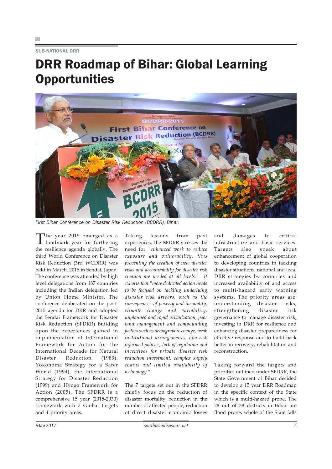SUB-NATIONAL DRR

### DRR Roadmap of Bihar: Global Learning **Opportunities**



First Bihar Conference on Disaster Risk Reduction (BCDRR), Bihar.

The year 2015 emerged as a<br>landmark year for furthering the resilience agenda globally. The third World Conference on Disaster Risk Reduction (3rd WCDRR) was held in March, 2015 in Sendai, Japan. The conference was attended by high level delegations from 187 countries including the Indian delegation led by Union Home Minister. The conference deliberated on the post-2015 agenda for DRR and adopted the Sendai Framework for Disaster Risk Reduction (SFDRR) building upon the experiences gained in implementation of International Framework for Action for the International Decade for Natural Disaster Reduction (1989), Yokohoma Strategy for a Safer World (1994), the International Strategy for Disaster Reduction (1999) and Hyogo Framework for Action (2005). The SFDRR is a comprehensive 15 year (2015-2030) framework with 7 Global targets and 4 priority areas.

Taking lessons from past experiences, the SFDRR stresses the need for "enhanced work to reduce exposure and vulnerability, thus preventing the creation of new disaster risks and accountability for disaster risk creation are needed at all levels." It exhorts that "more dedicated action needs to be focused on tackling underlying disaster risk drivers, such as the consequences of poverty and inequality, climate change and variability, unplanned and rapid urbanization, poor land management and compounding factors such as demographic change, weak institutional arrangements, non-risk informed policies, lack of regulation and incentives for private disaster risk reduction investment, complex supply chains and limited availability of technology."

The 7 targets set out in the SFDRR chiefly focus on the reduction of disaster mortality, reduction in the number of affected people, reduction of direct disaster economic losses

and damages to critical infrastructure and basic services. Targets also speak about enhancement of global cooperation to developing countries in tackling disaster situations, national and local DRR strategies by countries and increased availability of and access to multi-hazard early warning systems. The priority areas are: understanding disaster risks, strengthening disaster risk governance to manage disaster risk, investing in DRR for resilience and enhancing disaster preparedness for effective response and to build back better in recovery, rehabilitation and reconstruction.

Taking forward the targets and priorities outlined under SFDRR, the State Government of Bihar decided to develop a 15 year DRR Roadmap in the specific context of the State which is a multi-hazard prone. The 28 out of 38 districts in Bihar are flood prone, whole of the State falls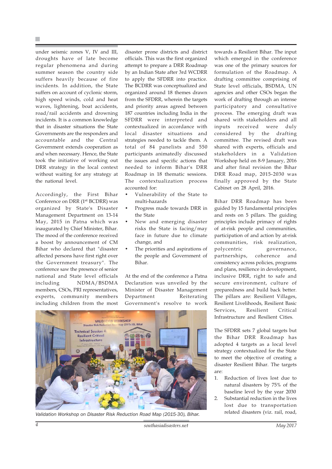under seismic zones V, IV and III, droughts have of late become regular phenomena and during summer season the country side suffers heavily because of fire incidents. In addition, the State suffers on account of cyclonic storm, high speed winds, cold and heat waves, lightening, boat accidents, road/rail accidents and drowning incidents. It is a common knowledge that in disaster situations the State Governments are the responders and accountable and the Central Government extends cooperation as and when necessary. Hence, the State took the initiative of working out DRR strategy in the local context without waiting for any strategy at the national level.

Accordingly, the First Bihar Conference on DRR (1<sup>st</sup> BCDRR) was organized by State's Disaster Management Department on 13-14 May, 2015 in Patna which was inaugurated by Chief Minister, Bihar. The mood of the conference received a boost by announcement of CM Bihar who declared that "disaster affected persons have first right over the Government treasury". The conference saw the presence of senior national and State level officials including NDMA/BSDMA members, CSOs, PRI representatives, experts, community members including children from the most

disaster prone districts and district officials. This was the first organized attempt to prepare a DRR Roadmap by an Indian State after 3rd WCDRR to apply the SFDRR into practice. The BCDRR was conceptualized and organized around 18 themes drawn from the SFDRR, wherein the targets and priority areas agreed between 187 countries including India in the SFDRR were interpreted and contextualized in accordance with local disaster situations and strategies needed to tackle them. A total of 84 panelists and 550 participants animatedly discussed the issues and specific actions that needed to inform Bihar's DRR Roadmap in 18 thematic sessions. The contextualization process accounted for:

- Vulnerability of the State to multi-hazards
- Progress made towards DRR in the State
- New and emerging disaster risks the State is facing/may face in future due to climate change, and
- The priorities and aspirations of the people and Government of Bihar.

At the end of the conference a Patna Declaration was unveiled by the Minister of Disaster Management Department Reiterating Government's resolve to work



related disasters (viz. rail, road, Validation Workshop on Disaster Risk Reduction Road Map (2015-30), Bihar.

towards a Resilient Bihar. The input which emerged in the conference was one of the primary sources for formulation of the Roadmap. A drafting committee comprising of State level officials, BSDMA, UN agencies and other CSOs began the work of drafting through an intense participatory and consultative process. The emerging draft was shared with stakeholders and all inputs received were duly considered by the drafting committee. The revised draft was shared with experts, officials and stakeholders in a Validation Workshop held on 8-9 January, 2016 and after final revision the Bihar DRR Road map, 2015-2030 was finally approved by the State Cabinet on 28 April, 2016.

Bihar DRR Roadmap has been guided by 15 fundamental principles and rests on 5 pillars. The guiding principles include primacy of rights of at-risk people and communities, participation of and action by at-risk communities, risk realization, polycentric governance, partnerships, coherence and consistency across policies, programs and plans, resilience in development, inclusive DRR, right to safe and secure environment, culture of preparedness and build back better. The pillars are: Resilient Villages, Resilient Livelihoods, Resilient Basic Services, Resilient Critical Infrastructure and Resilient Cities.

The SFDRR sets 7 global targets but the Bihar DRR Roadmap has adopted 4 targets as a local level strategy contextualized for the State to meet the objective of creating a disaster Resilient Bihar. The targets are:

- 1. Reduction of lives lost due to natural disasters by 75% of the baseline level by the year 2030
- 2. Substantial reduction in the lives lost due to transportation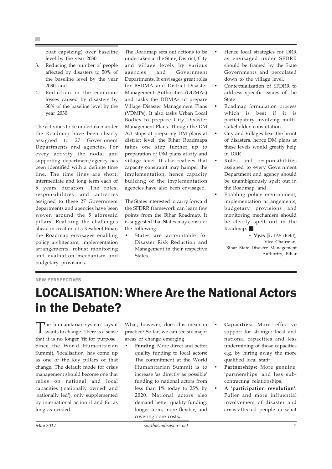H.

boat capsizing) over baseline level by the year 2030

- 3. Reducing the number of people affected by disasters to 50% of the baseline level by the year 2030, and
- 4. Reduction in the economic losses caused by disasters by 50% of the baseline level by the year 2030.

The activities to be undertaken under the Roadmap have been clearly assigned to 27 Government Departments and agencies. For every activity the nodal and supporting department/agency has been identified with a definite time line. The time lines are short, intermediate and long term each of 5 years duration. The roles, responsibilities and activities assigned to these 27 Government departments and agencies have been woven around the 5 aforesaid pillars. Realizing the challenges ahead in creation of a Resilient Bihar, the Roadmap envisages enabling policy architecture, implementation arrangements, robust monitoring and evaluation mechanism and budgetary provisions.

The Roadmap sets out actions to be undertaken at the State, District, City and village levels by various agencies and Government Departments. It envisages great roles for BSDMA and District Disaster Management Authorities (DDMAs) and tasks the DDMAs to prepare Village Disaster Management Plans (VDMPs). It also tasks Urban Local Bodies to prepare City Disaster Management Plans. Though the DM Act stops at preparing DM plans at district level, the Bihar Roadmaps takes one step further up to preparation of DM plans at city and village level. It also realizes that capacity constraint may hamper the implementation, hence capacity building of the implementation agencies have also been envisaged.

The States interested to carry forward the SFDRR framework can learn few points from the Bihar Roadmap. It is suggested that States may consider the following:

• States are accountable for Disaster Risk Reduction and Management in their respective States.

- Hence local strategies for DRR as envisaged under SFDRR should be framed by the State Governments and percolated down to the village level.
- Contextualization of SFDRR to address specific issues of the State
- Roadmap formulation process which is best if it is participatory involving multistakeholder consultation
- City and Villages bear the brunt of disasters, hence DM plans at these levels would greatly help in DRR
- Roles and responsibilities assigned to every Government Department and agency should be unambiguously spelt out in the Roadmap, and
- Enabling policy environment, implementation arrangements, budgetary provisions and monitoring mechanism should be clearly spelt out in the Roadmap.

– Vyas Ji, IAS (Retd), Vice Chairman, Bihar State Disaster Management Authority, Bihar

#### NEW PERSPECTIVES

### LOCALISATION: Where Are the National Actors in the Debate?

The 'humanitarian system' says it<br>wants to change. There is a sense that it is no longer 'fit for purpose'. Since the World Humanitarian Summit, 'localisation' has come up as one of the key pillars of that change. The default mode for crisis management should become one that relies on national and local capacities ('nationally owned' and 'nationally led'), only supplemented by international action if and for as long as needed.

What, however, does this mean in practice? So far, we can see six major areas of change emerging

- Funding: More direct and better quality funding to local actors: The commitment at the World Humanitarian Summit is to increase 'as directly as possible' funding to national actors from less than 1% today to 25% by 2020. National actors also demand better quality funding: longer term, more flexible, and covering core costs;
- Capacities: More effective support for stronger local and national capacities and less undermining of those capacities e.g. by hiring away the more qualified local staff;
- Partnerships: More genuine, 'partnerships' and less subcontracting relationships;
- A 'participation revolution': Fuller and more influential involvement of disaster and crisis-affected people in what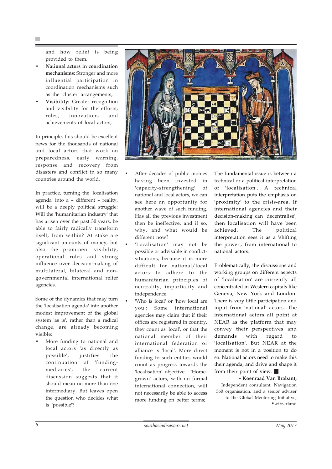and how relief is being provided to them.

- National actors in coordination mechanisms: Stronger and more influential participation in coordination mechanisms such as the 'cluster' arrangements;
- Visibility: Greater recognition and visibility for the efforts, roles, innovations and achievements of local actors;

In principle, this should be excellent news for the thousands of national and local actors that work on preparedness, early warning, response and recovery from disasters and conflict in so many countries around the world.

In practice, turning the 'localisation agenda' into a – different – reality, will be a deeply political struggle: Will the 'humanitarian industry' that has arisen over the past 30 years, be able to fairly radically transform itself, from within? At stake are significant amounts of money, but also the prominent visibility, operational roles and strong influence over decision-making of multilateral, bilateral and nongovernmental international relief agencies.

Some of the dynamics that may turn the 'localisation agenda' into another modest improvement of the global system 'as is', rather than a radical change, are already becoming visible:

More funding to national and local actors 'as directly as possible', justifies the continuation of 'fundingmediaries', the current discussion suggests that it should mean no more than one intermediary. But leaves open the question who decides what is 'possible'?



- After decades of public monies having been invested in 'capacity-strengthening' of national and local actors, we can see here an opportunity for another wave of such funding. Has all the previous investment then be ineffective, and if so, why, and what would be different now?
- 'Localisation' may not be possible or advisable in conflictsituations, because it is more difficult for national/local actors to adhere to the humanitarian principles of neutrality, impartiality and independence.
- 'Who is local' or 'how local are you': Some international agencies may claim that if their offices are registered in country, they count as 'local', or that the national member of their international federation or alliance is 'local'. More direct funding to such entities would count as progress towards the 'localisation' objective. 'Homegrown' actors, with no formal international connection, will not necessarily be able to access more funding on better terms;

The fundamental issue is between a technical or a political interpretation of 'localisation'. A technical interpretation puts the emphasis on 'proximity' to the crisis-area. If international agencies and their decision-making can 'decentralise', then localisation will have been achieved. The political interpretation sees it as a 'shifting the power', from international to national actors.

Problematically, the discussions and working groups on different aspects of 'localisation' are currently all concentrated in Western capitals like Geneva, New York and London. There is very little participation and input from 'national' actors. The international actors all point at NEAR as the platform that may convey their perspectives and demands with regard to 'localisation'. But NEAR at the moment is not in a position to do so. National actors need to make this their agenda, and drive and shape it from their point of view.  $\blacksquare$ 

– Koenraad Van Brabant, Independent consultant, Navigation 360 organisation, and a senior adviser to the Global Mentoring Initiative, Switzerland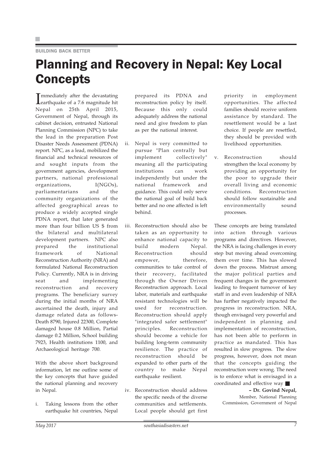### BUILDING BACK BETTER

## Planning and Recovery in Nepal: Key Local **Concepts**

**I** earthquake of a 7.6 magnitude hit **T** mmediately after the devastating Nepal on 25th April 2015, Government of Nepal, through its cabinet decision, entrusted National Planning Commission (NPC) to take the lead in the preparation Post Disaster Needs Assessment (PDNA) report. NPC, as a lead, mobilized the financial and technical resources of and sought inputs from the government agencies, development partners, national professional organizations, I(NGOs), parliamentarians and the community organizations of the affected geographical areas to produce a widely accepted single PDNA report, that later generated more than four billion US \$ from the bilateral and multilateral development partners. NPC also prepared the institutional framework of National Reconstruction Authority (NRA) and formulated National Reconstruction Policy. Currently, NRA is in driving seat and implementing reconstruction and recovery programs. The beneficiary survey during the initial months of NRA ascertained the death, injury and damage related data as follows-Death 8790, Injured 22300, Complete damaged house 0.8 Million, Partial damage 0.2 Million, School building 7923, Health institutions 1100, and Archaeological heritage 700.

With the above short background information, let me outline some of the key concepts that have guided the national planning and recovery in Nepal.

i. Taking lessons from the other earthquake hit countries, Nepal prepared its PDNA and reconstruction policy by itself. Because this only could adequately address the national need and give freedom to plan as per the national interest.

- ii. Nepal is very committed to pursue "Plan centrally but implement collectively" meaning all the participating institutions can work independently but under the national framework and guidance. This could only serve the national goal of build back better and no one affected is left behind.
- iii. Reconstruction should also be taken as an opportunity to enhance national capacity to build modern Nepal. Reconstruction should empower. therefore, communities to take control of their recovery, facilitated through the Owner Driven Reconstruction approach. Local labor, materials and earthquake resistant technologies will be used for reconstruction. Reconstruction should apply "integrated safer settlement" principles. Reconstruction should become a vehicle for building long-term community resilience. The practice of reconstruction should be expanded to other parts of the country to make Nepal earthquake resilient.
- iv. Reconstruction should address the specific needs of the diverse communities and settlements. Local people should get first

priority in employment opportunities. The affected families should receive uniform assistance by standard. The resettlement would be a last choice. If people are resettled, they should be provided with livelihood opportunities.

v. Reconstruction should strengthen the local economy by providing an opportunity for the poor to upgrade their overall living and economic conditions. Reconstruction should follow sustainable and environmentally sound processes.

These concepts are being translated into action through various programs and directives. However, the NRA is facing challenges in every step but moving ahead overcoming them over time. This has slowed down the process. Mistrust among the major political parties and frequent changes in the government leading to frequent turnover of key staff in and even leadership of NRA has further negatively impacted the progress in reconstruction. NRA, though envisaged very powerful and independent in planning and implementation of reconstruction, has not been able to perform in practice as mandated. This has resulted in slow progress. The slow progress, however, does not mean that the concepts guiding the reconstruction were wrong. The need is to enforce what is envisaged in a coordinated and effective way

### – Dr. Govind Nepal, Member, National Planning

Commission, Government of Nepal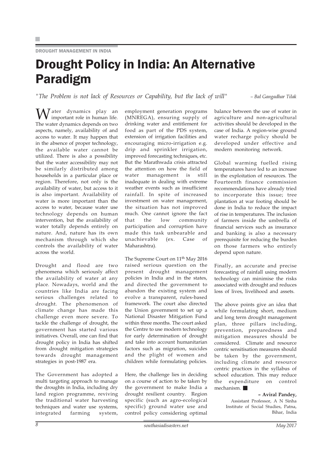DROUGHT MANAGEMENT IN INDIA

# Drought Policy in India: An Alternative Paradigm

"The Problem is not lack of Resources or Capability, but the lack of will" – Bal Gangadhar Tilak

**W** ater dynamics play an important role in human life. The water dynamics depends on two aspects, namely, availability of and access to water. It may happen that in the absence of proper technology, the available water cannot be utilized. There is also a possibility that the water accessibility may not be similarly distributed among households in a particular place or region. Therefore, not only is the availability of water, but access to it is also important. Availability of water is more important than the access to water, because water use technology depends on human intervention, but the availability of water totally depends entirely on nature. And, nature has its own mechanism through which she controls the availability of water across the world.

Drought and flood are two phenomena which seriously affect the availability of water at any place. Nowadays, world and the countries like India are facing serious challenges related to drought. The phenomenon of climate change has made this challenge even more severe. To tackle the challenge of drought, the government has started various initiatives. Overall, one can find that drought policy in India has shifted from drought mitigation strategies towards drought management strategies in post-1987 era.

The Government has adopted a multi targeting approach to manage the droughts in India, including dry land region programme, reviving the traditional water harvesting techniques and water use systems, integrated farming system, employment generation programs (MNREGA), ensuring supply of drinking water and entitlement for food as part of the PDS system, extension of irrigation facilities and encouraging micro-irrigation e.g. drip and sprinkler irrigation, improved forecasting techniques, etc. But the Marathwada crisis attracted the attention on how the field of water management is still inadequate in dealing with extreme weather events such as insufficient rainfall. In spite of increased investment on water management, the situation has not improved much. One cannot ignore the fact that the low community participation and corruption have made this task unbearable and unachievable (ex. Case of Maharashtra).

The Supreme Court on 11<sup>th</sup> May 2016 raised serious question on the present drought management policies in India and in the states, and directed the government to abandon the existing system and evolve a transparent, rules-based framework. The court also directed the Union government to set up a National Disaster Mitigation Fund within three months. The court asked the Centre to use modern technology for early determination of drought and take into account humanitarian factors such as migration, suicides and the plight of women and children while formulating policies.

Here, the challenge lies in deciding on a course of action to be taken by the government to make India a drought resilient country. Region specific (such as agro-ecological specific) ground water use and control policy considering optimal

balance between the use of water in agriculture and non-agricultural activities should be developed in the case of India. A region-wise ground water recharge policy should be developed under effective and modern monitoring network.

Global warming fuelled rising temperatures have led to an increase in the exploitation of resources. The Fourteenth finance commission recommendations have already tried to incorporate this issue; tree plantation at war footing should be done in India to reduce the impact of rise in temperatures. The inclusion of farmers inside the umbrella of financial services such as insurance and banking is also a necessary prerequisite for reducing the burden on those farmers who entirely depend upon nature.

Finally, an accurate and precise forecasting of rainfall using modern technology can minimise the risks associated with drought and reduces loss of lives, livelihood and assets.

The above points give an idea that while formulating short, medium and long term drought management plan, three pillars including, prevention, preparedness and mitigation measures should be considered. Climate and resource centric sensitisation measures should be taken by the government, including climate and resource centric practices in the syllabus of school education. This may reduce the expenditure on control mechanism.

– Aviral Pandey,

Assistant Professor, A N Sinha Institute of Social Studies, Patna, Bihar, India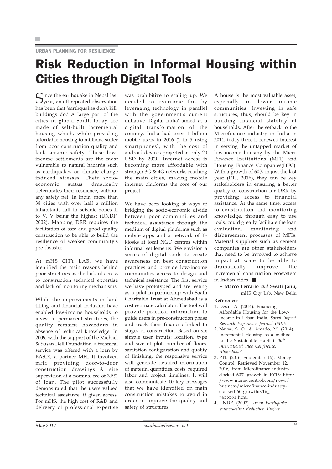#### URBAN PLANNING FOR RESILIENCE

## Risk Reduction in Informal Housing within Cities through Digital Tools

Since the earthquake in Nepal last<br>year, an oft repeated observation has been that 'earthquakes don't kill, buildings do.' A large part of the cities in global South today are made of self-built incremental housing which, while providing affordable housing to millions, suffer from poor construction quality and lack seismic safety. These lowincome settlements are the most vulnerable to natural hazards such as earthquakes or climate change induced stresses. Their socioeconomic status drastically deteriorates their resilience, without any safety net. In India, more than 38 cities with over half a million inhabitants fall in seismic zones II to V, V being the highest (UNDP, 2002). Mapping DRR requires the facilitation of safe and good quality construction to be able to build the resilience of weaker community's pre-disaster.

At mHS CITY LAB, we have identified the main reasons behind poor structures as the lack of access to construction technical expertise and lack of monitoring mechanisms.

While the improvements in land titling and financial inclusion have enabled low-income households to invest in permanent structures, the quality remains hazardous in absence of technical knowledge. In 2009, with the support of the Michael & Susan Dell Foundation, a technical service was offered with a loan by BASIX, a partner MFI. It involved mHS providing door-to-door construction drawings & site supervision at a nominal fee of 3.5% of loan. The pilot successfully demonstrated that the users valued technical assistance, if given access. For mHS, the high cost of R&D and delivery of professional expertise was prohibitive to scaling up. We decided to overcome this by leveraging technology in parallel with the government's current initiative 'Digital India' aimed at a digital transformation of the country. India had over 1 billion mobile users in 2016 (1 in 5 using smartphones), with the cost of android devices projected at only 20 USD by 2020. Internet access is becoming more affordable with stronger 3G & 4G networks reaching the main cities, making mobile internet platforms the core of our project.

We have been looking at ways of bridging the socio-economic divide between poor communities and technical assistance through the medium of digital platforms such as mobile apps and a network of Ekiosks at local NGO centres within informal settlements. We envision a series of digital tools to create awareness on best construction practices and provide low-income communities access to design and technical assistance. The first service we have prototyped and are testing as a pilot in partnership with Saath Charitable Trust at Ahmedabad is a cost estimate calculator. The tool will provide practical information to guide users in pre-construction phase and track their finances linked to stages of construction. Based on six simple user inputs: location, type and size of plot, number of floors, sanitation configuration and quality of finishing, the responsive service will generate detailed information of material quantities, costs, required labor and project timelines. It will also communicate 10 key messages that we have identified on main construction mistakes to avoid in order to improve the quality and safety of structures.

A house is the most valuable asset, especially in lower income communities. Investing in safe structures, thus, should be key in building financial stability of households. After the setback to the Microfinance industry in India in 2011, today there is renewed interest in serving the untapped market of low-income housing by the Micro Finance Institutions (MFI) and Housing Finance Companies(HFC). With a growth of 60% in just the last year (PTI, 2016), they can be key stakeholders in ensuring a better quality of construction for DRR by providing access to financial assistance. At the same time, access to construction and monitoring knowledge, through easy to use tools, could greatly facilitate the loan evaluation, monitoring and disbursement processes of MFIs. Material suppliers such as cement companies are other stakeholders that need to be involved to achieve impact at scale to be able to dramatically improve the incremental construction ecosystem in Indian cities.

– Marco Ferrario and Swati Janu, mHS City Lab, New Delhi

- 1. Desai, A. (2014). Financing Affordable Housing for the Low-Income in Urban India. Social Impact Research Experience Journal (SIRE).
- 2. Neves, S. O., & Amado, M. (2014). Incremental Housing as a method to the Sustainable Habitat.  $30<sup>th</sup>$ International Plea Conference. Ahmedabad.
- 3. PTI. (2016, September 15). Money Control. Retrieved November 12, 2016, from Microfinance industry clocked 60% growth in FY16: http:/ /www.moneycontrol.com/news/ business/microfinance-industryclocked-60-growthfy16\_ 7455581.html
- 4. UNDP. (2002) Urban Earthquake Vulnerability Reduction Project.

References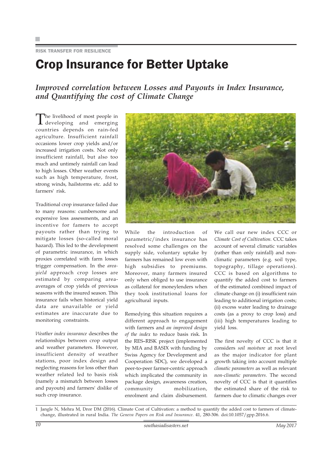### RISK TRANSFER FOR RESILIENCE

### Crop Insurance for Better Uptake

Improved correlation between Losses and Payouts in Index Insurance, and Quantifying the cost of Climate Change

The livelihood of most people in<br>developing and emerging countries depends on rain-fed agriculture. Insufficient rainfall occasions lower crop yields and/or increased irrigation costs. Not only insufficient rainfall, but also too much and untimely rainfall can lead to high losses. Other weather events such as high temperature, frost, strong winds, hailstorms etc. add to farmers' risk.

Traditional crop insurance failed due to many reasons: cumbersome and expensive loss assessments, and an incentive for famers to accept payouts rather than trying to mitigate losses (so-called moral hazard). This led to the development of parametric insurance, in which proxies correlated with farm losses trigger compensation. In the areayield approach crop losses are estimated by comparing areaaverages of crop yields of previous seasons with the insured season. This insurance fails when historical yield data are unavailable or yield estimates are inaccurate due to monitoring constraints.

Weather index insurance describes the relationships between crop output and weather parameters. However, insufficient density of weather stations, poor index design and neglecting reasons for loss other than weather related led to basis risk (namely a mismatch between losses and payouts) and farmers' dislike of such crop insurance.



While the introduction of parametric/index insurance has resolved some challenges on the supply side, voluntary uptake by farmers has remained low even with high subsidies to premiums. Moreover, many farmers insured only when obliged to use insurance as collateral for moneylenders when they took institutional loans for agricultural inputs.

Remedying this situation requires a different approach to engagement with farmers and an improved design of the index to reduce basis risk. In the RES–RISK project (implemented by MIA and BASIX with funding by Swiss Agency for Development and Cooperation SDC), we developed a peer-to-peer farmer-centric approach which implicated the community in package design, awareness creation, community mobilization, enrolment and claim disbursement.

We call our new index CCC or Climate Cost of Cultivation. CCC takes account of several climatic variables (rather than only rainfall) and nonclimatic parameters (e.g. soil type, topography, tillage operations). CCC is based on algorithms to quantify the added cost to farmers of the estimated combined impact of climate change on (i) insufficient rain leading to additional irrigation costs; (ii) excess water leading to drainage costs (as a proxy to crop loss) and (iii) high temperatures leading to yield loss.

The first novelty of CCC is that it considers soil moisture at root level as the major indicator for plant growth taking into account multiple climatic parameters as well as relevant non-climatic parameters. The second novelty of CCC is that it quantifies the estimated share of the risk to farmers due to climatic changes over

1 Jangle N, Mehra M, Dror DM (2016). Climate Cost of Cultivation: a method to quantify the added cost to farmers of climatechange, illustrated in rural India. The Geneva Papers on Risk and Insurance. 41, 280-306. doi:10.1057/gpp.2016.6.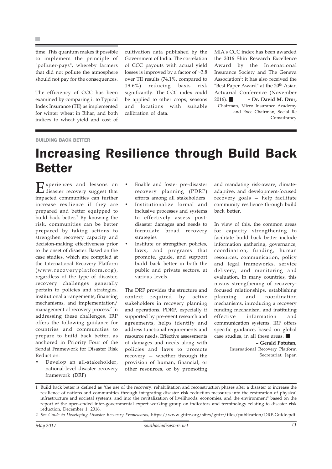time. This quantum makes it possible to implement the principle of "polluter-pays", whereby farmers that did not pollute the atmosphere should not pay for the consequences.

The efficiency of CCC has been examined by comparing it to Typical Index Insurance (TII) as implemented for winter wheat in Bihar, and both indices to wheat yield and cost of cultivation data published by the Government of India. The correlation of CCC payouts with actual yield losses is improved by a factor of ~3.8 over TII results (74.1%, compared to 19.6%) reducing basis risk significantly. The CCC index could be applied to other crops, seasons and locations with suitable calibration of data.

MIA's CCC index has been awarded the 2016 Shin Research Excellence Award by the International Insurance Society and The Geneva Association<sup>1</sup>; it has also received the "Best Paper Award" at the 20<sup>th</sup> Asian Actuarial Conference (November 2016). – Dr. David M. Dror, Chairman, Micro Insurance Academy and Exec Chairman, Social Re Consultancy

#### BUILDING BACK BETTER

### Increasing Resilience through Build Back **Better**

Experiences and lessons on<br>disaster recovery suggest that impacted communities can further increase resilience if they are prepared and better equipped to build back better.<sup>1</sup> By knowing the risk, communities can be better prepared by taking actions to strengthen recovery capacity and decision-making effectiveness prior to the onset of disaster. Based on the case studies, which are compiled at the International Recovery Platform (www.recoveryplatform.org), regardless of the type of disaster, recovery challenges generally pertain to policies and strategies, institutional arrangements, financing mechanisms, and implementation/ management of recovery process.<sup>2</sup> In addressing these challenges, IRP offers the following guidance for countries and communities to prepare to build back better, as anchored in Priority Four of the Sendai Framework for Disaster Risk Reduction:

• Develop an all-stakeholder, national-level disaster recovery framework (DRF)

- Enable and foster pre-disaster recovery planning (PDRP) efforts among all stakeholders • Institutionalize formal and inclusive processes and systems to effectively assess postdisaster damages and needs to formulate broad recovery strategies
- Institute or strengthen policies, laws, and programs that promote, guide, and support build back better in both the public and private sectors, at various levels.

The DRF provides the structure and context required by active stakeholders in recovery planning and operations. PDRP, especially if supported by pre-event research and agreements, helps identify and address functional requirements and resource needs. Effective assessments of damages and needs along with policies and laws to promote recovery — whether through the provision of human, financial, or other resources, or by promoting

and mandating risk-aware, climateadaptive, and development-focused recovery goals — help facilitate community resilience through build back better.

In view of this, the common areas for capacity strengthening to facilitate build back better include information gathering, governance, coordination, funding, human resources, communication, policy and legal frameworks, service delivery, and monitoring and evaluation. In many countries, this means strengthening of recoveryfocused relationships, establishing planning and coordination mechanisms, introducing a recovery funding mechanism, and instituting effective information and communication systems. IRP offers specific guidance, based on global case studies, in all these areas.

> – Gerald Potutan, International Recovery Platform Secretariat, Japan

<sup>1</sup> Build back better is defined as "the use of the recovery, rehabilitation and reconstruction phases after a disaster to increase the resilience of nations and communities through integrating disaster risk reduction measures into the restoration of physical infrastructure and societal systems, and into the revitalization of livelihoods, economies, and the environment" based on the report of the open-ended inter-governmental expert working group on indicators and terminology relating to disaster risk reduction, December 1, 2016.

<sup>2</sup> See Guide to Developing Disaster Recovery Frameworks, https://www.gfdrr.org/sites/gfdrr/files/publication/DRF-Guide.pdf.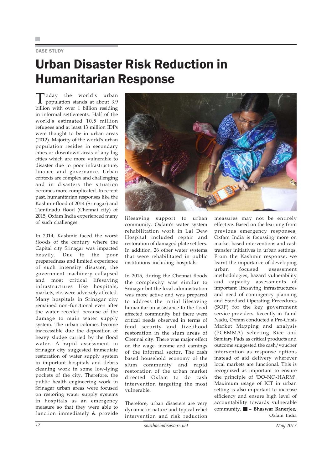### CASE STUDY

## Urban Disaster Risk Reduction in Humanitarian Response

**T**oday the world's urban<br>population stands at about 3.9 billion with over 1 billion residing in informal settlements. Half of the world's estimated 10.5 million refugees and at least 13 million IDPs were thought to be in urban areas (2012). Majority of the world's urban population resides in secondary cities or downtown areas of any big cities which are more vulnerable to disaster due to poor infrastructure, finance and governance. Urban contexts are complex and challenging and in disasters the situation becomes more complicated. In recent past, humanitarian responses like the Kashmir flood of 2014 (Srinagar) and Tamilnadu flood (Chennai city) of 2015, Oxfam India experienced many of such challenges.

In 2014, Kashmir faced the worst floods of the century where the Capital city Srinagar was impacted heavily. Due to the poor preparedness and limited experience of such intensity disaster, the government machinery collapsed and most critical lifesaving infrastructures like hospitals, markets, etc. were adversely affected. Many hospitals in Srinagar city remained non–functional even after the water receded because of the damage to main water supply system. The urban colonies become inaccessible due the deposition of heavy sludge carried by the flood water. A rapid assessment in Srinagar city suggested immediate restoration of water supply system in important hospitals and debris cleaning work in some low-lying pockets of the city. Therefore, the public health engineering work in Srinagar urban areas were focused on restoring water supply systems in hospitals as an emergency measure so that they were able to function immediately & provide



lifesaving support to urban community. Oxfam's water system rehabilitation work in Lal Dew Hospital included repair and restoration of damaged plate settlers. In addition, 26 other water systems that were rehabilitated in public institutions including hospitals.

In 2015, during the Chennai floods the complexity was similar to Srinagar but the local administration was more active and was prepared to address the initial lifesaving humanitarian assistance to the flood affected community but there were critical needs observed in terms of food security and livelihood restoration in the slum areas of Chennai city. There was major effect on the wage, income and earnings of the informal sector. The cash based household economy of the slum community and rapid restoration of the urban market directed Oxfam to do cash intervention targeting the most vulnerable.

Therefore, urban disasters are very dynamic in nature and typical relief intervention and risk reduction

measures may not be entirely effective. Based on the learning from previous emergency responses, Oxfam India is focussing more on market based interventions and cash transfer initiatives in urban settings. From the Kashmir response, we learnt the importance of developing urban focused assessment methodologies, hazard vulnerability and capacity assessments of important lifesaving infrastructures and need of contingency planning and Standard Operating Procedures (SOP) for the key government service providers. Recently in Tamil Nadu, Oxfam conducted a Pre-Crisis Market Mapping and analysis (PCEMMA) selecting Rice and Sanitary Pads as critical products and outcome suggested the cash/voucher intervention as response options instead of aid delivery wherever local markets are functional. This is recognized as important to ensure the principle of 'DO-NO-HARM'. Maximum usage of ICT in urban setting is also important to increase efficiency and ensure high level of accountability towards vulnerable community. – Bhaswar Banerjee, Oxfam India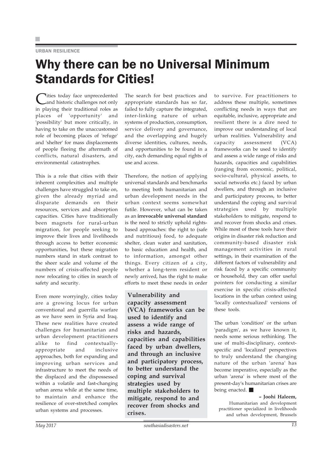### URBAN RESILIENCE

### Why there can be no Universal Minimum Standards for Cities!

Cities today face unprecedented<br>and historic challenges not only in playing their traditional roles as places of 'opportunity' and 'possibility' but more critically, in having to take on the unaccustomed role of becoming places of 'refuge' and 'shelter' for mass displacements of people fleeing the aftermath of conflicts, natural disasters, and environmental catastrophes.

This is a role that cities with their inherent complexities and multiple challenges have struggled to take on, given the already myriad and disparate demands on their resources, services and absorption capacities. Cities have traditionally been magnets for rural-urban migration, for people seeking to improve their lives and livelihoods through access to better economic opportunities, but these migration numbers stand in stark contrast to the sheer scale and volume of the numbers of crisis-affected people now relocating to cities in search of safety and security.

Even more worryingly, cities today are a growing locus for urban conventional and guerrilla warfare as we have seen in Syria and Iraq. These new realities have created challenges for humanitarian and urban development practitioners alike to find contextuallyappropriate and inclusive approaches, both for expanding and improving urban services and infrastructure to meet the needs of the displaced and the dispossessed within a volatile and fast-changing urban arena while at the same time, to maintain and enhance the resilience of over-stretched complex urban systems and processes.

The search for best practices and appropriate standards has so far, failed to fully capture the integrated, inter-linking nature of urban systems of production, consumption, service delivery and governance, and the overlapping and hugely diverse identities, cultures, needs, and opportunities to be found in a city, each demanding equal rights of use and access.

Therefore, the notion of applying universal standards and benchmarks to meeting both humanitarian and urban development needs in the urban context seems somewhat futile. However, what can be taken as an irrevocable universal standard is the need to strictly uphold rightsbased approaches: the right to (safe and nutritious) food, to adequate shelter, clean water and sanitation, to basic education and health, and to information, amongst other things. Every citizen of a city, whether a long-term resident or newly arrived, has the right to make efforts to meet these needs in order

Vulnerability and capacity assessment (VCA) frameworks can be used to identify and assess a wide range of risks and hazards, capacities and capabilities faced by urban dwellers, and through an inclusive and participatory process, to better understand the coping and survival strategies used by multiple stakeholders to mitigate, respond to and recover from shocks and crises.

to survive. For practitioners to address these multiple, sometimes conflicting needs in ways that are equitable, inclusive, appropriate and resilient there is a dire need to improve our understanding of local urban realities. Vulnerability and capacity assessment (VCA) frameworks can be used to identify and assess a wide range of risks and hazards, capacities and capabilities (ranging from economic, political, socio-cultural, physical assets, to social networks etc.) faced by urban dwellers, and through an inclusive and participatory process, to better understand the coping and survival strategies used by multiple stakeholders to mitigate, respond to and recover from shocks and crises. While most of these tools have their origins in disaster risk reduction and community-based disaster risk management activities in rural settings, in their examination of the different factors of vulnerability and risk faced by a specific community or household, they can offer useful pointers for conducting a similar exercise in specific crisis-affected locations in the urban context using 'locally contextualized' versions of these tools.

The urban 'condition' or the urban 'paradigm', as we have known it, needs some serious rethinking. The use of multi-disciplinary, contextspecific and 'localized' perspectives to truly understand the changing nature of the urban 'arena' has become imperative, especially as the urban 'arena' is where most of the present-day's humanitarian crises are being enacted.

#### – Joohi Haleem,

Humanitarian and development practitioner specialized in livelihoods and urban development, Brussels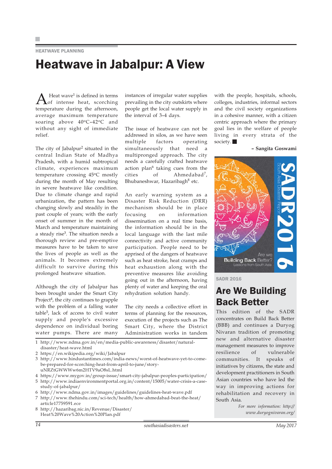HEATWAVE PLANNING

### Heatwave in Jabalpur: A View

 $A_{\text{off}}^{\text{Heat wave}^1}$  is defined in terms<br>terms intense heat, scorching temperature during the afternoon, average maximum temperature soaring above 40°C-42°C and without any sight of immediate relief.

The city of Jabalpur<sup>2</sup> situated in the central Indian State of Madhya Pradesh, with a humid subtropical climate, experiences maximum temperature crossing 45°C mostly during the month of May resulting in severe heatwave like condition. Due to climate change and rapid urbanization, the pattern has been changing slowly and steadily in the past couple of years; with the early onset of summer in the month of March and temperature maintaining a steady rise<sup>3</sup>. The situation needs a thorough review and pre-emptive measures have to be taken to save the lives of people as well as the animals. It becomes extremely difficult to survive during this prolonged heatwave situation.

Although the city of Jabalpur has been brought under the Smart City Project $<sup>4</sup>$ , the city continues to grapple</sup> with the problem of a falling water table<sup>5</sup>, lack of access to civil water supply and people's excessive dependence on individual boring water pumps. There are many

instances of irregular water supplies prevailing in the city outskirts where people get the local water supply in the interval of 3–4 days.

The issue of heatwave can not be addressed in silos, as we have seen multiple factors operating simultaneously that need a multipronged approach. The city needs a carefully crafted heatwave action plan $6$  taking cues from the cities of Ahmedabad<sup>7</sup>, Bhubaneshwar, Hazaribagh $8$  etc.

An early warning system as a Disaster Risk Reduction (DRR) mechanism should be in place focusing on information dissemination on a real time basis, the information should be in the local language with the last mile connectivity and active community participation. People need to be apprised of the dangers of heatwave such as heat stroke, heat cramps and heat exhaustion along with the preventive measures like avoiding going out in the afternoon, having plenty of water and keeping the oral rehydration solution handy.

The city needs a collective effort in terms of planning for the resources, execution of the projects such as The Smart City, where the District Administration works in tandem

1 http://www.ndma.gov.in/en/media-public-awareness/disaster/naturaldisaster/heat-wave.html

- 3 http://www.hindustantimes.com/india-news/worst-of-heatwave-yet-to-comebe-prepared-for-scorching-heat-from-april-to-june/storyuNRZtGWWWw6m2HTV9aO8sL.html
- 4 https://www.mygov.in/group-issue/smart-city-jabalpur-peoples-participation/

5 http://www.indiaenvironmentportal.org.in/content/15005/water-crisis-a-casestudy-of-jabalpur/

- 6 http://www.ndma.gov.in/images/guidelines/guidelines-heat-wave.pdf
- 7 http://www.thehindu.com/sci-tech/health/how-ahmedabad-beat-the-heat/ article17759591.ece
- 8 http://hazaribag.nic.in/Revenue/Disaster/ Heat%20Wave%20Action%20Plan.pdf

with the people, hospitals, schools, colleges, industries, informal sectors and the civil society organizations in a cohesive manner, with a citizen centric approach where the primary goal lies in the welfare of people living in every strata of the society.

– Sangita Goswami



SADR 2016

### Are We Building Back Better

This edition of the SADR concentrates on Build Back Better (BBB) and continues a Duryog Nivaran tradition of promoting new and alternative disaster management measures to improve resilience of vulnerable communities. It speaks of initiatives by citizens, the state and development practitioners in South Asian countries who have led the way in improving actions for rehabilitation and recovery in South Asia.

> For more information: http:// www.duryognivaran.org/

<sup>2</sup> https://en.wikipedia.org/wiki/Jabalpur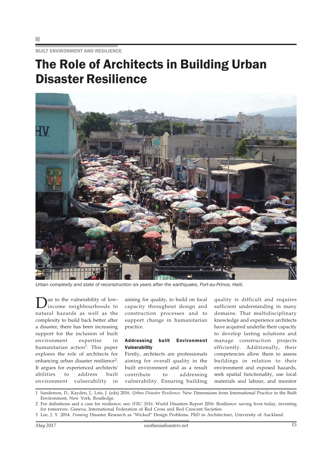BUILT ENVIRONMENT AND RESILIENCE

## The Role of Architects in Building Urban Disaster Resilience



Urban complexity and state of reconstruction six years after the earthquake, Port-au-Prince, Haiti.

Due to the vulnerability of low-<br>income neighbourhoods to natural hazards as well as the complexity to build back better after a disaster, there has been increasing support for the inclusion of built environment expertise in humanitarian action<sup>1</sup>. This paper explores the role of architects for enhancing urban disaster resilience2. It argues for experienced architects' abilities to address built environment vulnerability in

aiming for quality, to build on local capacity throughout design and construction processes and to support change in humanitarian practice.

### Addressing built Environment **Vulnerability**

Firstly, architects are professionals aiming for overall quality in the built environment and as a result contribute to addressing vulnerability. Ensuring building

quality is difficult and requires sufficient understanding in many domains. That multidisciplinary knowledge and experience architects have acquired underlie their capacity to develop lasting solutions and manage construction projects efficiently. Additionally, their competencies allow them to assess buildings in relation to their environment and exposed hazards, seek spatial functionality, use local materials and labour, and monitor

1 Sanderson, D., Kayden, J., Leis, J. (eds) 2016. Urban Disaster Resilience: New Dimensions from International Practice in the Built Environment, New York, Routledge.

2 For definitions and a case for resilience, see: IFRC 2016. World Disasters Report 2016: Resilience: saving lives today, investing for tomorrow, Geneva, International Federation of Red Cross and Red Crescent Societies.

3 Lee, J. Y. 2014. Framing Disaster Research as "Wicked" Design Problems. PhD in Architecture, University of Auckland.